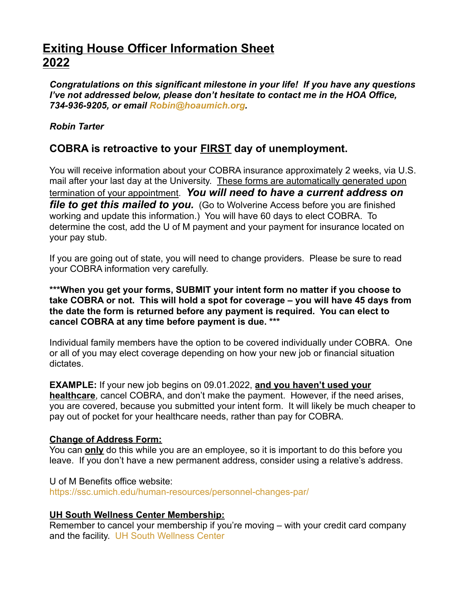# **Exiting House Officer Information Sheet 2022**

*Congratulations on this significant milestone in your life! If you have any questions I've not addressed below, please don't hesitate to contact me in the HOA Office, 734-936-9205, or email [Robin@hoaumich.org.](mailto:Robin@hoaumich.org)*

#### *Robin Tarter*

## **COBRA is retroactive to your FIRST day of unemployment.**

You will receive information about your COBRA insurance approximately 2 weeks, via U.S. mail after your last day at the University. These forms are automatically generated upon termination of your appointment. *You will need to have a current address on file to get this mailed to you.* (Go to Wolverine Access before you are finished working and update this information.) You will have 60 days to elect COBRA. To determine the cost, add the U of M payment and your payment for insurance located on your pay stub.

If you are going out of state, you will need to change providers. Please be sure to read your COBRA information very carefully.

**\*\*\*When you get your forms, SUBMIT your intent form no matter if you choose to take COBRA or not. This will hold a spot for coverage – you will have 45 days from the date the form is returned before any payment is required. You can elect to cancel COBRA at any time before payment is due. \*\*\***

Individual family members have the option to be covered individually under COBRA. One or all of you may elect coverage depending on how your new job or financial situation dictates.

**EXAMPLE:** If your new job begins on 09.01.2022, **and you haven't used your healthcare**, cancel COBRA, and don't make the payment. However, if the need arises, you are covered, because you submitted your intent form. It will likely be much cheaper to pay out of pocket for your healthcare needs, rather than pay for COBRA.

#### **Change of Address Form:**

You can **only** do this while you are an employee, so it is important to do this before you leave. If you don't have a new permanent address, consider using a relative's address.

U of M Benefits office website: <https://ssc.umich.edu/human-resources/personnel-changes-par/>

### **UH South Wellness Center Membership:**

Remember to cancel your membership if you're moving – with your credit card company and the facility. [UH South Wellness Center](mailto:%20uhsouthcancellation@med.umich.edu?subject=Cancel%20Membership)